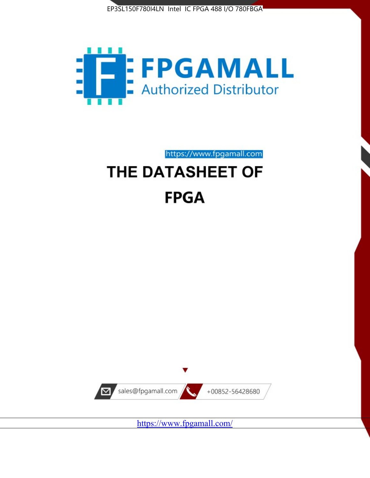



https://www.fpgamall.com

# THE DATASHEET OF **FPGA**



<https://www.fpgamall.com/>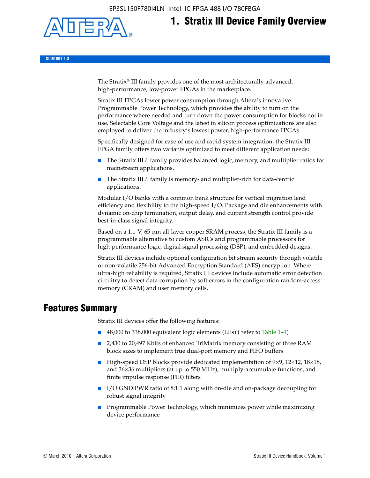EP3SL150F780I4LN Intel IC FPGA 488 I/O 780FBGA



# **1. Stratix III Device Family Overview**

**SIII51001-1.8**

The Stratix® III family provides one of the most architecturally advanced, high-performance, low-power FPGAs in the marketplace.

Stratix III FPGAs lower power consumption through Altera's innovative Programmable Power Technology, which provides the ability to turn on the performance where needed and turn down the power consumption for blocks not in use. Selectable Core Voltage and the latest in silicon process optimizations are also employed to deliver the industry's lowest power, high-performance FPGAs.

Specifically designed for ease of use and rapid system integration, the Stratix III FPGA family offers two variants optimized to meet different application needs:

- The Stratix III *L* family provides balanced logic, memory, and multiplier ratios for mainstream applications.
- The Stratix III *E* family is memory- and multiplier-rich for data-centric applications.

Modular I/O banks with a common bank structure for vertical migration lend efficiency and flexibility to the high-speed I/O. Package and die enhancements with dynamic on-chip termination, output delay, and current strength control provide best-in-class signal integrity.

Based on a 1.1-V, 65-nm all-layer copper SRAM process, the Stratix III family is a programmable alternative to custom ASICs and programmable processors for high-performance logic, digital signal processing (DSP), and embedded designs.

Stratix III devices include optional configuration bit stream security through volatile or non-volatile 256-bit Advanced Encryption Standard (AES) encryption. Where ultra-high reliability is required, Stratix III devices include automatic error detection circuitry to detect data corruption by soft errors in the configuration random-access memory (CRAM) and user memory cells.

# **Features Summary**

Stratix III devices offer the following features:

- 48,000 to 338,000 equivalent logic elements (LEs) (refer to Table 1–1)
- 2,430 to 20,497 Kbits of enhanced TriMatrix memory consisting of three RAM block sizes to implement true dual-port memory and FIFO buffers
- High-speed DSP blocks provide dedicated implementation of 9×9, 12×12, 18×18, and 36×36 multipliers (at up to 550 MHz), multiply-accumulate functions, and finite impulse response (FIR) filters
- I/O:GND:PWR ratio of 8:1:1 along with on-die and on-package decoupling for robust signal integrity
- Programmable Power Technology, which minimizes power while maximizing device performance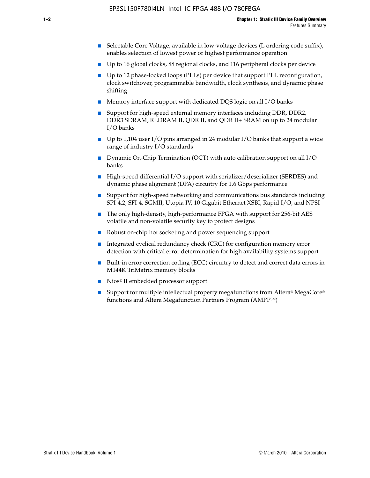- Selectable Core Voltage, available in low-voltage devices (L ordering code suffix), enables selection of lowest power or highest performance operation
- Up to 16 global clocks, 88 regional clocks, and 116 peripheral clocks per device
- Up to 12 phase-locked loops (PLLs) per device that support PLL reconfiguration, clock switchover, programmable bandwidth, clock synthesis, and dynamic phase shifting
- Memory interface support with dedicated DQS logic on all I/O banks
- Support for high-speed external memory interfaces including DDR, DDR2, DDR3 SDRAM, RLDRAM II, QDR II, and QDR II+ SRAM on up to 24 modular I/O banks
- Up to 1,104 user I/O pins arranged in 24 modular I/O banks that support a wide range of industry I/O standards
- Dynamic On-Chip Termination (OCT) with auto calibration support on all  $I/O$ banks
- High-speed differential I/O support with serializer/deserializer (SERDES) and dynamic phase alignment (DPA) circuitry for 1.6 Gbps performance
- Support for high-speed networking and communications bus standards including SPI-4.2, SFI-4, SGMII, Utopia IV, 10 Gigabit Ethernet XSBI, Rapid I/O, and NPSI
- The only high-density, high-performance FPGA with support for 256-bit AES volatile and non-volatile security key to protect designs
- Robust on-chip hot socketing and power sequencing support
- Integrated cyclical redundancy check (CRC) for configuration memory error detection with critical error determination for high availability systems support
- Built-in error correction coding (ECC) circuitry to detect and correct data errors in M144K TriMatrix memory blocks
- Nios<sup>®</sup> II embedded processor support
- Support for multiple intellectual property megafunctions from Altera® MegaCore® functions and Altera Megafunction Partners Program (AMPPSM)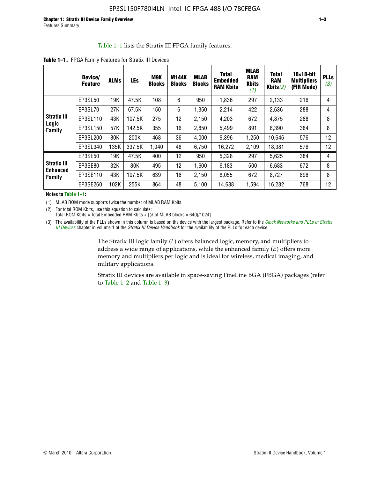#### Table 1–1 lists the Stratix III FPGA family features.

|                                | Device/<br><b>Feature</b> | <b>ALMs</b> | <b>LEs</b> | M9K<br><b>Blocks</b> | <b>M144K</b><br><b>Blocks</b> | <b>MLAB</b><br><b>Blocks</b> | <b>Total</b><br><b>Embedded</b><br><b>RAM Kbits</b> | <b>MLAB</b><br><b>RAM</b><br><b>Kbits</b><br>(1) | <b>Total</b><br><b>RAM</b><br>Kbits $(2)$ | $18\times18$ -bit<br><b>Multipliers</b><br>(FIR Mode) | <b>PLLs</b><br>(3) |
|--------------------------------|---------------------------|-------------|------------|----------------------|-------------------------------|------------------------------|-----------------------------------------------------|--------------------------------------------------|-------------------------------------------|-------------------------------------------------------|--------------------|
|                                | EP3SL50                   | 19K         | 47.5K      | 108                  | 6                             | 950                          | 1,836                                               | 297                                              | 2,133                                     | 216                                                   | 4                  |
|                                | EP3SL70                   | 27K         | 67.5K      | 150                  | 6                             | 1,350                        | 2,214                                               | 422                                              | 2,636                                     | 288                                                   | 4                  |
| <b>Stratix III</b><br>Logic    | EP3SL110                  | 43K         | 107.5K     | 275                  | 12                            | 2,150                        | 4,203                                               | 672                                              | 4,875                                     | 288                                                   | 8                  |
| Family                         | EP3SL150                  | 57K         | 142.5K     | 355                  | 16                            | 2,850                        | 5,499                                               | 891                                              | 6,390                                     | 384                                                   | 8                  |
|                                | EP3SL200                  | 80K         | 200K       | 468                  | 36                            | 4,000                        | 9,396                                               | 1,250                                            | 10,646                                    | 576                                                   | 12                 |
|                                | EP3SL340                  | 135K        | 337.5K     | 1,040                | 48                            | 6,750                        | 16,272                                              | 2,109                                            | 18,381                                    | 576                                                   | 12                 |
|                                | EP3SE50                   | 19K         | 47.5K      | 400                  | 12                            | 950                          | 5,328                                               | 297                                              | 5,625                                     | 384                                                   | 4                  |
| <b>Stratix III</b><br>Enhanced | EP3SE80                   | 32K         | 80K        | 495                  | 12 <sup>2</sup>               | 1,600                        | 6,183                                               | 500                                              | 6,683                                     | 672                                                   | 8                  |
| Family                         | EP3SE110                  | 43K         | 107.5K     | 639                  | 16                            | 2,150                        | 8.055                                               | 672                                              | 8,727                                     | 896                                                   | 8                  |
|                                | EP3SE260                  | 102K        | 255K       | 864                  | 48                            | 5,100                        | 14,688                                              | 1,594                                            | 16,282                                    | 768                                                   | 12                 |

**Table 1–1.** FPGA Family Features for Stratix III Devices

**Notes to Table 1–1:**

(1) MLAB ROM mode supports twice the number of MLAB RAM Kbits.

(2) For total ROM Kbits, use this equation to calculate: Total ROM Kbits = Total Embedded RAM Kbits +  $[(# of MLAB blocks × 640)/1024]$ 

(3) The availability of the PLLs shown in this column is based on the device with the largest package. Refer to the *[Clock Networks and PLLs in Stratix](http://www.altera.com/literature/hb/stx3/stx3_siii51006.pdf)  [III Devices](http://www.altera.com/literature/hb/stx3/stx3_siii51006.pdf)* chapter in volume 1 of the *Stratix III Device Handbook* for the availability of the PLLs for each device.

> The Stratix III logic family (*L*) offers balanced logic, memory, and multipliers to address a wide range of applications, while the enhanced family (*E*) offers more memory and multipliers per logic and is ideal for wireless, medical imaging, and military applications.

Stratix III devices are available in space-saving FineLine BGA (FBGA) packages (refer to Table 1–2 and Table 1–3).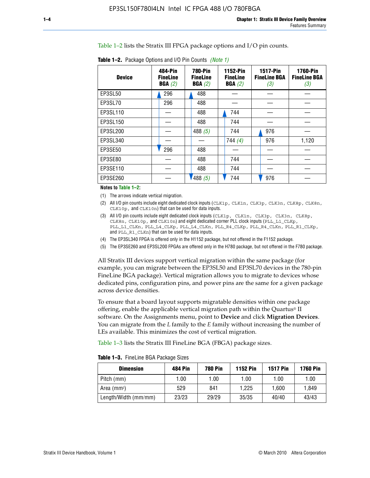Table 1–2 lists the Stratix III FPGA package options and I/O pin counts.

| <b>Device</b> | 484-Pin<br><b>FineLine</b><br>BGA(2) | <b>780-Pin</b><br><b>FineLine</b><br>BGA(2) | 1152-Pin<br><b>FineLine</b><br>BGA(2) | <b>1517-Pin</b><br><b>FineLine BGA</b><br>(3) | <b>1760-Pin</b><br><b>FineLine BGA</b><br>(3) |
|---------------|--------------------------------------|---------------------------------------------|---------------------------------------|-----------------------------------------------|-----------------------------------------------|
| EP3SL50       | 296                                  | 488                                         |                                       |                                               |                                               |
| EP3SL70       | 296                                  | 488                                         |                                       |                                               |                                               |
| EP3SL110      |                                      | 488                                         | 744                                   |                                               |                                               |
| EP3SL150      |                                      | 488                                         | 744                                   |                                               |                                               |
| EP3SL200      |                                      | 488 $(5)$                                   | 744                                   | 976                                           |                                               |
| EP3SL340      |                                      |                                             | 744 $(4)$                             | 976                                           | 1,120                                         |
| EP3SE50       | 296                                  | 488                                         |                                       |                                               |                                               |
| EP3SE80       |                                      | 488                                         | 744                                   |                                               |                                               |
| EP3SE110      |                                      | 488                                         | 744                                   |                                               |                                               |
| EP3SE260      |                                      | 488(5)                                      | 744                                   | 976                                           |                                               |

**Table 1–2.** Package Options and I/O Pin Counts *(Note 1)*

**Notes to Table 1–2:**

(1) The arrows indicate vertical migration.

- (2) All I/O pin counts include eight dedicated clock inputs (CLK1p, CLK1n, CLK3p, CLK3n, CLK8p, CLK8n, CLK10p, and CLK10n) that can be used for data inputs.
- (3) All I/O pin counts include eight dedicated clock inputs (CLK1p, CLK1n, CLK3p, CLK3n, CLK8p, CLK8n, CLK10p, and CLK10n) and eight dedicated corner PLL clock inputs (PLL\_L1\_CLKp, PLL\_L1\_CLKn, PLL\_L4\_CLKp, PLL\_L4\_CLKn, PLL\_R4\_CLKp, PLL\_R4\_CLKn, PLL\_R1\_CLKp, and PLL\_R1\_CLKn) that can be used for data inputs.
- (4) The EP3SL340 FPGA is offered only in the H1152 package, but not offered in the F1152 package.
- (5) The EP3SE260 and EP3SL200 FPGAs are offered only in the H780 package, but not offered in the F780 package.

All Stratix III devices support vertical migration within the same package (for example, you can migrate between the EP3SL50 and EP3SL70 devices in the 780-pin FineLine BGA package). Vertical migration allows you to migrate to devices whose dedicated pins, configuration pins, and power pins are the same for a given package across device densities.

To ensure that a board layout supports migratable densities within one package offering, enable the applicable vertical migration path within the Quartus® II software. On the Assignments menu, point to **Device** and click **Migration Devices**. You can migrate from the *L* family to the *E* family without increasing the number of LEs available. This minimizes the cost of vertical migration.

Table 1–3 lists the Stratix III FineLine BGA (FBGA) package sizes.

**Table 1–3.** FineLine BGA Package Sizes

| <b>Dimension</b>     | <b>484 Pin</b> | <b>780 Pin</b> | <b>1152 Pin</b> | <b>1517 Pin</b> | <b>1760 Pin</b> |
|----------------------|----------------|----------------|-----------------|-----------------|-----------------|
| Pitch (mm)           | 1.00           | 1.00           | 1.00            | 1.00            | 1.00            |
| Area $(mm2)$         | 529            | 841            | 1.225           | 1.600           | 1.849           |
| Length/Width (mm/mm) | 23/23          | 29/29          | 35/35           | 40/40           | 43/43           |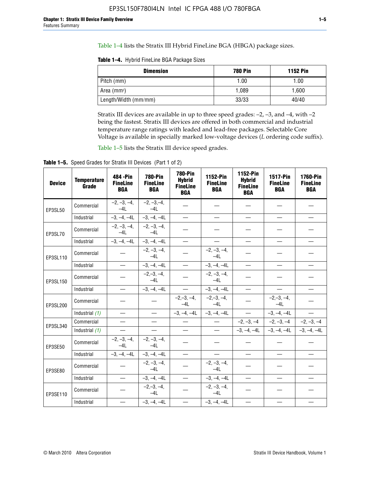Table 1–4 lists the Stratix III Hybrid FineLine BGA (HBGA) package sizes.

**Table 1–4.** Hybrid FineLine BGA Package Sizes

| <b>Dimension</b>     | <b>780 Pin</b> | <b>1152 Pin</b> |
|----------------------|----------------|-----------------|
| Pitch (mm)           | 1.00           | 1.00            |
| Area $(mm^2)$        | 1.089          | 1.600           |
| Length/Width (mm/mm) | 33/33          | 40/40           |

Stratix III devices are available in up to three speed grades: –2, –3, and –4, with –2 being the fastest. Stratix III devices are offered in both commercial and industrial temperature range ratings with leaded and lead-free packages. Selectable Core Voltage is available in specially marked low-voltage devices (*L* ordering code suffix).

Table 1–5 lists the Stratix III device speed grades.

Table 1-5. Speed Grades for Stratix III Devices (Part 1 of 2)

| <b>Device</b> | <b>Temperature</b><br>Grade | 484 - Pin<br><b>FineLine</b><br><b>BGA</b> | <b>780-Pin</b><br><b>FineLine</b><br><b>BGA</b> | <b>780-Pin</b><br><b>Hybrid</b><br><b>FineLine</b><br><b>BGA</b> | 1152-Pin<br><b>FineLine</b><br><b>BGA</b> | 1152-Pin<br><b>Hybrid</b><br><b>FineLine</b><br><b>BGA</b> | 1517-Pin<br><b>FineLine</b><br><b>BGA</b> | <b>1760-Pin</b><br><b>FineLine</b><br><b>BGA</b> |
|---------------|-----------------------------|--------------------------------------------|-------------------------------------------------|------------------------------------------------------------------|-------------------------------------------|------------------------------------------------------------|-------------------------------------------|--------------------------------------------------|
| EP3SL50       | Commercial                  | $-2, -3, -4,$<br>$-4L$                     | $-2, -3, -4,$<br>$-4L$                          |                                                                  |                                           |                                                            |                                           |                                                  |
|               | Industrial                  | $-3, -4, -4L$                              | $-3, -4, -4L$                                   | $\overline{\phantom{0}}$                                         | $\equiv$                                  | $\equiv$                                                   | $\equiv$                                  | $\equiv$                                         |
| EP3SL70       | Commercial                  | $-2, -3, -4,$<br>$-41$                     | $-2, -3, -4,$<br>$-41$                          |                                                                  |                                           |                                                            |                                           |                                                  |
|               | Industrial                  | $-3, -4, -4L$                              | $-3, -4, -4L$                                   | $\equiv$                                                         | $\overline{\phantom{0}}$                  | $\overline{\phantom{0}}$                                   | $\overline{\phantom{0}}$                  | $\overline{\phantom{0}}$                         |
| EP3SL110      | Commercial                  |                                            | $-2, -3, -4,$<br>$-4L$                          |                                                                  | $-2, -3, -4,$<br>$-4L$                    |                                                            |                                           |                                                  |
|               | Industrial                  | $\overline{\phantom{0}}$                   | $-3, -4, -4L$                                   | $\frac{1}{1}$                                                    | $-3, -4, -4L$                             | $\frac{1}{2}$                                              | $\equiv$                                  | $\overline{\phantom{0}}$                         |
| EP3SL150      | Commercial                  |                                            | $-2, -3, -4,$<br>$-41$                          |                                                                  | $-2, -3, -4,$<br>$-41$                    |                                                            |                                           |                                                  |
|               | Industrial                  |                                            | $-3, -4, -4L$                                   | $\equiv$                                                         | $-3, -4, -4L$                             |                                                            | $\qquad \qquad -$                         | $\equiv$                                         |
| EP3SL200      | Commercial                  |                                            |                                                 | $-2, -3, -4,$<br>$-4L$                                           | $-2, -3, -4,$<br>$-4L$                    |                                                            | $-2,-3,-4,$<br>$-4L$                      |                                                  |
|               | Industrial (1)              | $\equiv$                                   | $\equiv$                                        | $-3, -4, -4L$                                                    | $-3, -4, -4L$                             | $\frac{1}{2}$                                              | $-3, -4, -4L$                             | $\overline{\phantom{0}}$                         |
| EP3SL340      | Commercial                  | $\equiv$                                   | $\qquad \qquad$                                 | $\overbrace{\phantom{12322111}}$                                 | $\overline{\phantom{m}}$                  |                                                            | $-2, -3, -4$ $-2, -3, -4$                 | $-2, -3, -4$                                     |
|               | Industrial (1)              | $\overline{\phantom{m}}$                   | $\equiv$                                        | $\equiv$                                                         | $-$                                       |                                                            | $-3, -4, -4$ $-4$ $-3, -4, -4$            | $-3, -4, -4L$                                    |
| EP3SE50       | Commercial                  | $-2, -3, -4,$<br>$-4L$                     | $-2, -3, -4,$<br>$-4L$                          |                                                                  |                                           |                                                            |                                           |                                                  |
|               | Industrial                  | $-3, -4, -4L$                              | $-3, -4, -4L$                                   | $\equiv$                                                         | $\overline{\phantom{0}}$                  |                                                            |                                           | $\overline{\phantom{0}}$                         |
| EP3SE80       | Commercial                  |                                            | $-2, -3, -4,$<br>$-41$                          |                                                                  | $-2, -3, -4,$<br>$-41$                    |                                                            |                                           |                                                  |
|               | Industrial                  | $\overline{\phantom{m}}$                   | $-3, -4, -4L$                                   | $\overbrace{\phantom{1232211}}$                                  | $-3, -4, -4L$                             |                                                            | $\equiv$                                  |                                                  |
| EP3SE110      | Commercial                  |                                            | $-2, -3, -4,$<br>$-4L$                          |                                                                  | $-2, -3, -4,$<br>$-41$                    |                                                            |                                           |                                                  |
|               | Industrial                  |                                            | $-3, -4, -4L$                                   | $\overline{\phantom{0}}$                                         | $-3, -4, -4L$                             |                                                            |                                           |                                                  |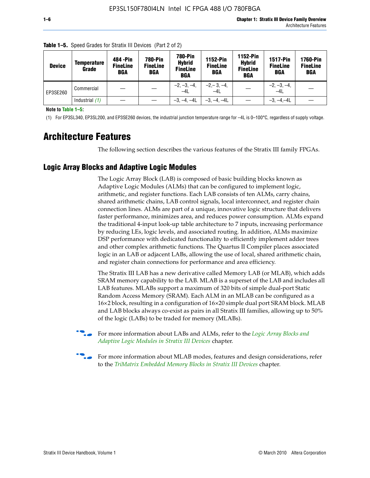| <b>Device</b> | <b>Temperature</b><br>Grade | 484 - Pin<br><b>FineLine</b><br><b>BGA</b> | <b>780-Pin</b><br><b>FineLine</b><br><b>BGA</b> | <b>780-Pin</b><br><b>Hybrid</b><br><b>FineLine</b><br><b>BGA</b> | 1152-Pin<br><b>FineLine</b><br>BGA | 1152-Pin<br><b>Hybrid</b><br><b>FineLine</b><br>BGA | <b>1517-Pin</b><br><b>FineLine</b><br><b>BGA</b> | <b>1760-Pin</b><br><b>FineLine</b><br><b>BGA</b> |
|---------------|-----------------------------|--------------------------------------------|-------------------------------------------------|------------------------------------------------------------------|------------------------------------|-----------------------------------------------------|--------------------------------------------------|--------------------------------------------------|
| EP3SE260      | Commercial                  |                                            |                                                 | $-2, -3, -4,$<br>$-4L$                                           | $-2, -3, -4,$<br>$-4L$             |                                                     | $-2, -3, -4,$<br>$-4L$                           |                                                  |
|               | Industrial $(1)$            |                                            |                                                 | $-3, -4, -4L$                                                    | $-3, -4, -4L$                      |                                                     | $-3, -4, -4L$                                    |                                                  |

**Table 1–5.** Speed Grades for Stratix III Devices (Part 2 of 2)

**Note to Table 1–5:**

(1) For EP3SL340, EP3SL200, and EP3SE260 devices, the industrial junction temperature range for –4L is 0–100°C, regardless of supply voltage.

# **Architecture Features**

The following section describes the various features of the Stratix III family FPGAs.

## **Logic Array Blocks and Adaptive Logic Modules**

The Logic Array Block (LAB) is composed of basic building blocks known as Adaptive Logic Modules (ALMs) that can be configured to implement logic, arithmetic, and register functions. Each LAB consists of ten ALMs, carry chains, shared arithmetic chains, LAB control signals, local interconnect, and register chain connection lines. ALMs are part of a unique, innovative logic structure that delivers faster performance, minimizes area, and reduces power consumption. ALMs expand the traditional 4-input look-up table architecture to 7 inputs, increasing performance by reducing LEs, logic levels, and associated routing. In addition, ALMs maximize DSP performance with dedicated functionality to efficiently implement adder trees and other complex arithmetic functions. The Quartus II Compiler places associated logic in an LAB or adjacent LABs, allowing the use of local, shared arithmetic chain, and register chain connections for performance and area efficiency.

The Stratix III LAB has a new derivative called Memory LAB (or MLAB), which adds SRAM memory capability to the LAB. MLAB is a superset of the LAB and includes all LAB features. MLABs support a maximum of 320 bits of simple dual-port Static Random Access Memory (SRAM). Each ALM in an MLAB can be configured as a 16×2 block, resulting in a configuration of 16×20 simple dual port SRAM block. MLAB and LAB blocks always co-exist as pairs in all Stratix III families, allowing up to 50% of the logic (LABs) to be traded for memory (MLABs).



f For more information about LABs and ALMs, refer to the *[Logic Array Blocks and](http://www.altera.com/literature/hb/stx3/stx3_siii51002.pdf)  [Adaptive Logic Modules in Stratix III Devices](http://www.altera.com/literature/hb/stx3/stx3_siii51002.pdf)* chapter.



For more information about MLAB modes, features and design considerations, refer to the *[TriMatrix Embedded Memory Blocks in Stratix III Devices](http://www.altera.com/literature/hb/stx3/stx3_siii51004.pdf)* chapter.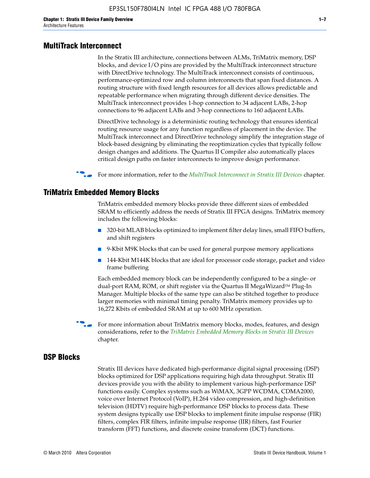#### **MultiTrack Interconnect**

In the Stratix III architecture, connections between ALMs, TriMatrix memory, DSP blocks, and device I/O pins are provided by the MultiTrack interconnect structure with DirectDrive technology. The MultiTrack interconnect consists of continuous, performance-optimized row and column interconnects that span fixed distances. A routing structure with fixed length resources for all devices allows predictable and repeatable performance when migrating through different device densities. The MultiTrack interconnect provides 1-hop connection to 34 adjacent LABs, 2-hop connections to 96 adjacent LABs and 3-hop connections to 160 adjacent LABs.

DirectDrive technology is a deterministic routing technology that ensures identical routing resource usage for any function regardless of placement in the device. The MultiTrack interconnect and DirectDrive technology simplify the integration stage of block-based designing by eliminating the reoptimization cycles that typically follow design changes and additions. The Quartus II Compiler also automatically places critical design paths on faster interconnects to improve design performance.

#### **For more information, refer to the** *[MultiTrack Interconnect in Stratix III Devices](http://www.altera.com/literature/hb/stx3/stx3_siii51003.pdf)* **chapter.**

#### **TriMatrix Embedded Memory Blocks**

TriMatrix embedded memory blocks provide three different sizes of embedded SRAM to efficiently address the needs of Stratix III FPGA designs. TriMatrix memory includes the following blocks:

- 320-bit MLAB blocks optimized to implement filter delay lines, small FIFO buffers, and shift registers
- 9-Kbit M9K blocks that can be used for general purpose memory applications
- 144-Kbit M144K blocks that are ideal for processor code storage, packet and video frame buffering

Each embedded memory block can be independently configured to be a single- or dual-port RAM, ROM, or shift register via the Quartus II MegaWizard™ Plug-In Manager. Multiple blocks of the same type can also be stitched together to produce larger memories with minimal timing penalty. TriMatrix memory provides up to 16,272 Kbits of embedded SRAM at up to 600 MHz operation.

For more information about TriMatrix memory blocks, modes, features, and design considerations, refer to the *[TriMatrix Embedded Memory Blocks in Stratix III Devices](http://www.altera.com/literature/hb/stx3/stx3_siii51004.pdf)* chapter.

#### **DSP Blocks**

Stratix III devices have dedicated high-performance digital signal processing (DSP) blocks optimized for DSP applications requiring high data throughput. Stratix III devices provide you with the ability to implement various high-performance DSP functions easily. Complex systems such as WiMAX, 3GPP WCDMA, CDMA2000, voice over Internet Protocol (VoIP), H.264 video compression, and high-definition television (HDTV) require high-performance DSP blocks to process data. These system designs typically use DSP blocks to implement finite impulse response (FIR) filters, complex FIR filters, infinite impulse response (IIR) filters, fast Fourier transform (FFT) functions, and discrete cosine transform (DCT) functions.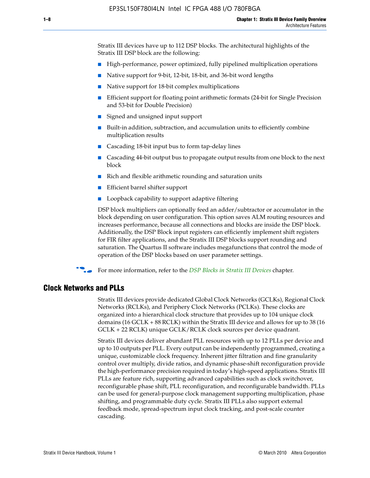Stratix III devices have up to 112 DSP blocks. The architectural highlights of the Stratix III DSP block are the following:

- High-performance, power optimized, fully pipelined multiplication operations
- Native support for 9-bit, 12-bit, 18-bit, and 36-bit word lengths
- Native support for 18-bit complex multiplications
- Efficient support for floating point arithmetic formats (24-bit for Single Precision and 53-bit for Double Precision)
- Signed and unsigned input support
- Built-in addition, subtraction, and accumulation units to efficiently combine multiplication results
- Cascading 18-bit input bus to form tap-delay lines
- Cascading 44-bit output bus to propagate output results from one block to the next block
- Rich and flexible arithmetic rounding and saturation units
- Efficient barrel shifter support
- Loopback capability to support adaptive filtering

DSP block multipliers can optionally feed an adder/subtractor or accumulator in the block depending on user configuration. This option saves ALM routing resources and increases performance, because all connections and blocks are inside the DSP block. Additionally, the DSP Block input registers can efficiently implement shift registers for FIR filter applications, and the Stratix III DSP blocks support rounding and saturation. The Quartus II software includes megafunctions that control the mode of operation of the DSP blocks based on user parameter settings.

f For more information, refer to the *[DSP Blocks in Stratix III Devices](http://www.altera.com/literature/hb/stx3/stx3_siii51005.pdf)* chapter.

#### **Clock Networks and PLLs**

Stratix III devices provide dedicated Global Clock Networks (GCLKs), Regional Clock Networks (RCLKs), and Periphery Clock Networks (PCLKs). These clocks are organized into a hierarchical clock structure that provides up to 104 unique clock domains (16 GCLK + 88 RCLK) within the Stratix III device and allows for up to 38 (16 GCLK + 22 RCLK) unique GCLK/RCLK clock sources per device quadrant.

Stratix III devices deliver abundant PLL resources with up to 12 PLLs per device and up to 10 outputs per PLL. Every output can be independently programmed, creating a unique, customizable clock frequency. Inherent jitter filtration and fine granularity control over multiply, divide ratios, and dynamic phase-shift reconfiguration provide the high-performance precision required in today's high-speed applications. Stratix III PLLs are feature rich, supporting advanced capabilities such as clock switchover, reconfigurable phase shift, PLL reconfiguration, and reconfigurable bandwidth. PLLs can be used for general-purpose clock management supporting multiplication, phase shifting, and programmable duty cycle. Stratix III PLLs also support external feedback mode, spread-spectrum input clock tracking, and post-scale counter cascading.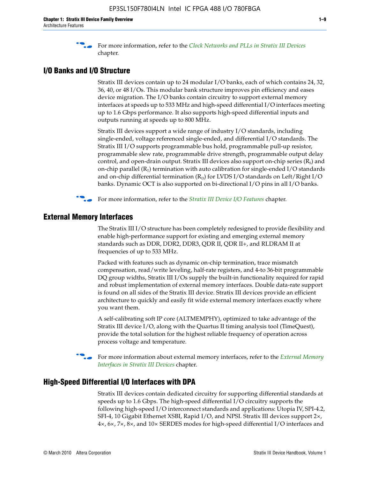f For more information, refer to the *[Clock Networks and PLLs in Stratix III Devices](http://www.altera.com/literature/hb/stx3/stx3_siii51006.pdf)* chapter.

## **I/O Banks and I/O Structure**

Stratix III devices contain up to 24 modular I/O banks, each of which contains 24, 32, 36, 40, or 48 I/Os. This modular bank structure improves pin efficiency and eases device migration. The I/O banks contain circuitry to support external memory interfaces at speeds up to 533 MHz and high-speed differential I/O interfaces meeting up to 1.6 Gbps performance. It also supports high-speed differential inputs and outputs running at speeds up to 800 MHz.

Stratix III devices support a wide range of industry I/O standards, including single-ended, voltage referenced single-ended, and differential I/O standards. The Stratix III I/O supports programmable bus hold, programmable pull-up resistor, programmable slew rate, programmable drive strength, programmable output delay control, and open-drain output. Stratix III devices also support on-chip series  $(R<sub>s</sub>)$  and on-chip parallel  $(R_T)$  termination with auto calibration for single-ended I/O standards and on-chip differential termination  $(R_D)$  for LVDS I/O standards on Left/Right I/O banks. Dynamic OCT is also supported on bi-directional I/O pins in all I/O banks.

**For more information, refer to the** *[Stratix III Device I/O Features](http://www.altera.com/literature/hb/stx3/stx3_siii51007.pdf)* **chapter.** 

# **External Memory Interfaces**

The Stratix III I/O structure has been completely redesigned to provide flexibility and enable high-performance support for existing and emerging external memory standards such as DDR, DDR2, DDR3, QDR II, QDR II+, and RLDRAM II at frequencies of up to 533 MHz.

Packed with features such as dynamic on-chip termination, trace mismatch compensation, read/write leveling, half-rate registers, and 4-to 36-bit programmable DQ group widths, Stratix III I/Os supply the built-in functionality required for rapid and robust implementation of external memory interfaces. Double data-rate support is found on all sides of the Stratix III device. Stratix III devices provide an efficient architecture to quickly and easily fit wide external memory interfaces exactly where you want them.

A self-calibrating soft IP core (ALTMEMPHY), optimized to take advantage of the Stratix III device I/O, along with the Quartus II timing analysis tool (TimeQuest), provide the total solution for the highest reliable frequency of operation across process voltage and temperature.

f For more information about external memory interfaces, refer to the *[External Memory](http://www.altera.com/literature/hb/stx3/stx3_siii51008.pdf)  [Interfaces in Stratix III Devices](http://www.altera.com/literature/hb/stx3/stx3_siii51008.pdf)* chapter.

#### **High-Speed Differential I/O Interfaces with DPA**

Stratix III devices contain dedicated circuitry for supporting differential standards at speeds up to 1.6 Gbps. The high-speed differential I/O circuitry supports the following high-speed I/O interconnect standards and applications: Utopia IV, SPI-4.2, SFI-4, 10 Gigabit Ethernet XSBI, Rapid I/O, and NPSI. Stratix III devices support 2×, 4×, 6×, 7×, 8×, and 10× SERDES modes for high-speed differential I/O interfaces and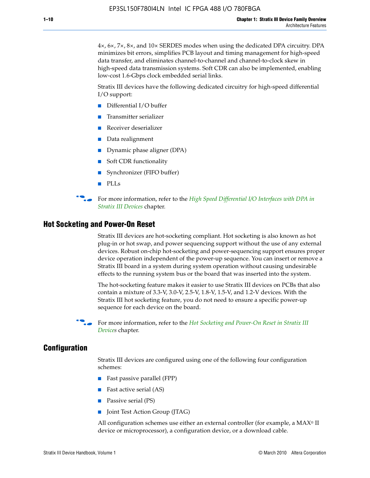4×, 6×, 7×, 8×, and 10× SERDES modes when using the dedicated DPA circuitry. DPA minimizes bit errors, simplifies PCB layout and timing management for high-speed data transfer, and eliminates channel-to-channel and channel-to-clock skew in high-speed data transmission systems. Soft CDR can also be implemented, enabling low-cost 1.6-Gbps clock embedded serial links.

Stratix III devices have the following dedicated circuitry for high-speed differential I/O support:

- Differential I/O buffer
- Transmitter serializer
- Receiver deserializer
- Data realignment
- Dynamic phase aligner (DPA)
- Soft CDR functionality
- Synchronizer (FIFO buffer)
- PLLs

**for more information, refer to the** *High Speed Differential I/O Interfaces with DPA in [Stratix III Devices](http://www.altera.com/literature/hb/stx3/stx3_siii51009.pdf)* chapter.

#### **Hot Socketing and Power-On Reset**

Stratix III devices are hot-socketing compliant. Hot socketing is also known as hot plug-in or hot swap, and power sequencing support without the use of any external devices. Robust on-chip hot-socketing and power-sequencing support ensures proper device operation independent of the power-up sequence. You can insert or remove a Stratix III board in a system during system operation without causing undesirable effects to the running system bus or the board that was inserted into the system.

The hot-socketing feature makes it easier to use Stratix III devices on PCBs that also contain a mixture of 3.3-V, 3.0-V, 2.5-V, 1.8-V, 1.5-V, and 1.2-V devices. With the Stratix III hot socketing feature, you do not need to ensure a specific power-up sequence for each device on the board.

f For more information, refer to the *[Hot Socketing and Power-On Reset in Stratix III](http://www.altera.com/literature/hb/stx3/stx3_siii51010.pdf)  [Device](http://www.altera.com/literature/hb/stx3/stx3_siii51010.pdf)s* chapter.

#### **Configuration**

Stratix III devices are configured using one of the following four configuration schemes:

- Fast passive parallel (FPP)
- Fast active serial (AS)
- Passive serial (PS)
- Joint Test Action Group (JTAG)

All configuration schemes use either an external controller (for example, a  $MAX<sup>®</sup>$  II device or microprocessor), a configuration device, or a download cable.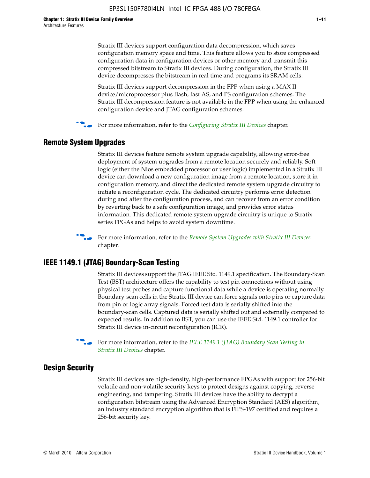Stratix III devices support configuration data decompression, which saves configuration memory space and time. This feature allows you to store compressed configuration data in configuration devices or other memory and transmit this compressed bitstream to Stratix III devices. During configuration, the Stratix III device decompresses the bitstream in real time and programs its SRAM cells.

Stratix III devices support decompression in the FPP when using a MAX II device/microprocessor plus flash, fast AS, and PS configuration schemes. The Stratix III decompression feature is not available in the FPP when using the enhanced configuration device and JTAG configuration schemes.

For more information, refer to the *[Configuring Stratix III Devices](http://www.altera.com/literature/hb/stx3/stx3_siii51011.pdf)* chapter.

# **Remote System Upgrades**

Stratix III devices feature remote system upgrade capability, allowing error-free deployment of system upgrades from a remote location securely and reliably. Soft logic (either the Nios embedded processor or user logic) implemented in a Stratix III device can download a new configuration image from a remote location, store it in configuration memory, and direct the dedicated remote system upgrade circuitry to initiate a reconfiguration cycle. The dedicated circuitry performs error detection during and after the configuration process, and can recover from an error condition by reverting back to a safe configuration image, and provides error status information. This dedicated remote system upgrade circuitry is unique to Stratix series FPGAs and helps to avoid system downtime.



**For more information, refer to the** *[Remote System Upgrades with Stratix III Devices](http://www.altera.com/literature/hb/stx3/stx3_siii51012.pdf)* chapter.

## **IEEE 1149.1 (JTAG) Boundary-Scan Testing**

Stratix III devices support the JTAG IEEE Std. 1149.1 specification. The Boundary-Scan Test (BST) architecture offers the capability to test pin connections without using physical test probes and capture functional data while a device is operating normally. Boundary-scan cells in the Stratix III device can force signals onto pins or capture data from pin or logic array signals. Forced test data is serially shifted into the boundary-scan cells. Captured data is serially shifted out and externally compared to expected results. In addition to BST, you can use the IEEE Std. 1149.1 controller for Stratix III device in-circuit reconfiguration (ICR).

For more information, refer to the *IEEE 1149.1 (JTAG) Boundary Scan Testing in [Stratix III Devices](http://www.altera.com/literature/hb/stx3/stx3_siii51013.pdf)* chapter.

## **Design Security**

Stratix III devices are high-density, high-performance FPGAs with support for 256-bit volatile and non-volatile security keys to protect designs against copying, reverse engineering, and tampering. Stratix III devices have the ability to decrypt a configuration bitstream using the Advanced Encryption Standard (AES) algorithm, an industry standard encryption algorithm that is FIPS-197 certified and requires a 256-bit security key.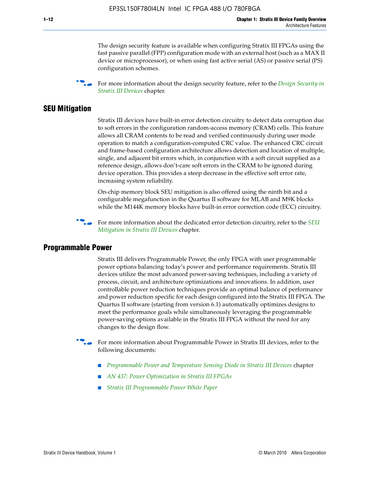The design security feature is available when configuring Stratix III FPGAs using the fast passive parallel (FPP) configuration mode with an external host (such as a MAX II device or microprocessor), or when using fast active serial (AS) or passive serial (PS) configuration schemes.

f For more information about the design security feature, refer to the *[Design Security in](http://www.altera.com/literature/hb/stx3/stx3_siii51014.pdf)  [Stratix III Devices](http://www.altera.com/literature/hb/stx3/stx3_siii51014.pdf)* chapter.

## **SEU Mitigation**

Stratix III devices have built-in error detection circuitry to detect data corruption due to soft errors in the configuration random-access memory (CRAM) cells. This feature allows all CRAM contents to be read and verified continuously during user mode operation to match a configuration-computed CRC value. The enhanced CRC circuit and frame-based configuration architecture allows detection and location of multiple, single, and adjacent bit errors which, in conjunction with a soft circuit supplied as a reference design, allows don't-care soft errors in the CRAM to be ignored during device operation. This provides a steep decrease in the effective soft error rate, increasing system reliability.

On-chip memory block SEU mitigation is also offered using the ninth bit and a configurable megafunction in the Quartus II software for MLAB and M9K blocks while the M144K memory blocks have built-in error correction code (ECC) circuitry.

For more information about the dedicated error detection circuitry, refer to the *SEU [Mitigation in Stratix III Devices](http://www.altera.com/literature/hb/stx3/stx3_siii51015.pdf)* chapter.

#### **Programmable Power**

Stratix III delivers Programmable Power, the only FPGA with user programmable power options balancing today's power and performance requirements. Stratix III devices utilize the most advanced power-saving techniques, including a variety of process, circuit, and architecture optimizations and innovations. In addition, user controllable power reduction techniques provide an optimal balance of performance and power reduction specific for each design configured into the Stratix III FPGA. The Quartus II software (starting from version 6.1) automatically optimizes designs to meet the performance goals while simultaneously leveraging the programmable power-saving options available in the Stratix III FPGA without the need for any changes to the design flow.

For more information about Programmable Power in Stratix III devices, refer to the following documents:

- *[Programmable Power and Temperature Sensing Diode in Stratix III Devices](http://www.altera.com/literature/hb/stx3/stx3_siii51016.pdf) chapter*
- *[AN 437: Power Optimization in Stratix III FPGAs](http://www.altera.com/literature/an/AN437.pdf)*
- *[Stratix III Programmable Power White Paper](http://www.altera.com/literature/wp/wp-01006.pdf)*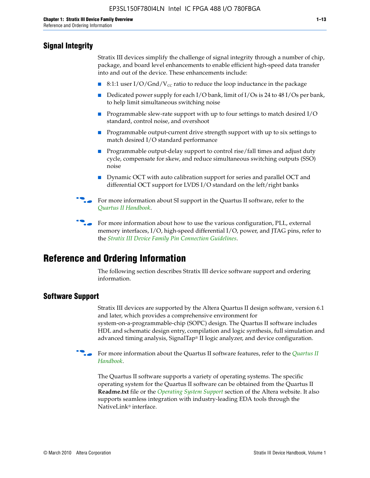# **Signal Integrity**

Stratix III devices simplify the challenge of signal integrity through a number of chip, package, and board level enhancements to enable efficient high-speed data transfer into and out of the device. These enhancements include:

- 8:1:1 user I/O/Gnd/V<sub>cc</sub> ratio to reduce the loop inductance in the package
- Dedicated power supply for each I/O bank, limit of I/Os is 24 to 48 I/Os per bank, to help limit simultaneous switching noise
- Programmable slew-rate support with up to four settings to match desired I/O standard, control noise, and overshoot
- Programmable output-current drive strength support with up to six settings to match desired I/O standard performance
- Programmable output-delay support to control rise/fall times and adjust duty cycle, compensate for skew, and reduce simultaneous switching outputs (SSO) noise
- Dynamic OCT with auto calibration support for series and parallel OCT and differential OCT support for LVDS I/O standard on the left/right banks
- For mor[e](http://www.altera.com/literature/hb/qts/quartusii_handbook.pdf) information about SI support in the Quartus II software, refer to the *[Quartus II Handbook](http://www.altera.com/literature/hb/qts/quartusii_handbook.pdf)*.

For more information about how to use the various configuration, PLL, external memory interfaces, I/O, high-speed differential I/O, power, and JTAG pins, refer to the *[Stratix III Device Family Pin Connection Guidelines](http://www.altera.com/literature/dp/stx3/PCG-01004.pdf)*.

# **Reference and Ordering Information**

The following section describes Stratix III device software support and ordering information.

# **Software Support**

Stratix III devices are supported by the Altera Quartus II design software, version 6.1 and later, which provides a comprehensive environment for system-on-a-programmable-chip (SOPC) design. The Quartus II software includes HDL and schematic design entry, compilation and logic synthesis, full simulation and advanced timing analysis, SignalTap® II logic analyzer, and device configuration.

**For more information about the [Quartus II](http://www.altera.com/literature/hb/qts/quartusii_handbook.pdf) software features, refer to the** *Quartus II* **<b>Fig. 7** *[Handbook](http://www.altera.com/literature/hb/qts/quartusii_handbook.pdf)*.

The Quartus II software supports a variety of operating systems. The specific operating system for the Quartus II software can be obtained from the Quartus II **Readme.txt** file or the *[Operating System Support](http://www.altera.com/support/software/os_support/oss-index.html)* section of the Altera website. It also supports seamless integration with industry-leading EDA tools through the NativeLink® interface.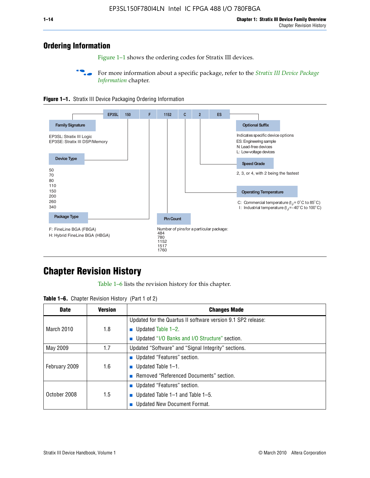# **Ordering Information**

Figure 1–1 shows the ordering codes for Stratix III devices.

For more information about a specific package, refer to the *Stratix III Device Package [Information](http://www.altera.com/literature/hb/stx3/stx3_siii51017.pdf)* chapter.





# **[C](http://www.altera.com/literature/hb/stx3/stx3_siii51012.pdf)hapter Revision History**

Table 1–6 lists the revision history for this chapter.

| <b>Table 1–6.</b> Chapter Revision History (Part 1 of 2) |  |  |  |  |  |
|----------------------------------------------------------|--|--|--|--|--|
|----------------------------------------------------------|--|--|--|--|--|

| <b>Date</b>       | <b>Version</b> | <b>Changes Made</b>                                          |
|-------------------|----------------|--------------------------------------------------------------|
|                   |                | Updated for the Quartus II software version 9.1 SP2 release: |
| <b>March 2010</b> | 1.8            | <b>u</b> Updated Table $1-2$ .                               |
|                   |                | ■ Updated "I/O Banks and I/O Structure" section.             |
| May 2009          | 1.7            | Updated "Software" and "Signal Integrity" sections.          |
|                   |                | Updated "Features" section.                                  |
| February 2009     | 1.6            | <b>u</b> Updated Table $1-1$ .                               |
|                   |                | Removed "Referenced Documents" section.                      |
|                   |                | ■ Updated "Features" section.                                |
| October 2008      | 1.5            | ■ Updated Table 1–1 and Table 1–5.                           |
|                   |                | <b>Updated New Document Format.</b>                          |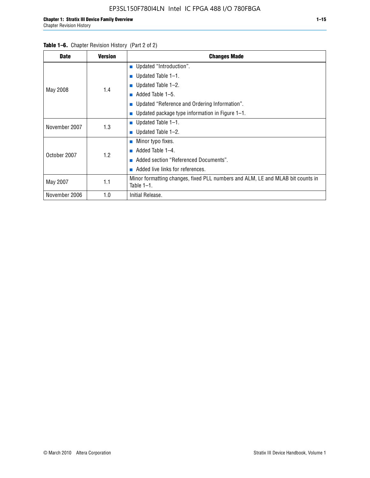#### Table 1–6. Chapter Revision History (Part 2 of 2)

| <b>Date</b>   | <b>Version</b> | <b>Changes Made</b>                                                                             |  |  |  |
|---------------|----------------|-------------------------------------------------------------------------------------------------|--|--|--|
|               |                | <b>Updated "Introduction".</b>                                                                  |  |  |  |
|               |                | $\blacksquare$ Updated Table 1-1.                                                               |  |  |  |
|               | 1.4            | <b>u</b> Updated Table $1-2$ .                                                                  |  |  |  |
| May 2008      |                | Added Table 1-5.<br><b>COL</b>                                                                  |  |  |  |
|               |                | ■ Updated "Reference and Ordering Information".                                                 |  |  |  |
|               |                | ■ Updated package type information in Figure $1-1$ .                                            |  |  |  |
| November 2007 | 1.3            | $\blacksquare$ Updated Table 1-1.                                                               |  |  |  |
|               |                | $\blacksquare$ Updated Table 1-2.                                                               |  |  |  |
|               |                | $\blacksquare$ Minor typo fixes.                                                                |  |  |  |
| October 2007  | 1.2            | Added Table 1-4.                                                                                |  |  |  |
|               |                | Added section "Referenced Documents".                                                           |  |  |  |
|               |                | Added live links for references.                                                                |  |  |  |
| May 2007      | 1.1            | Minor formatting changes, fixed PLL numbers and ALM, LE and MLAB bit counts in<br>Table $1-1$ . |  |  |  |
| November 2006 | 1.0            | Initial Release.                                                                                |  |  |  |